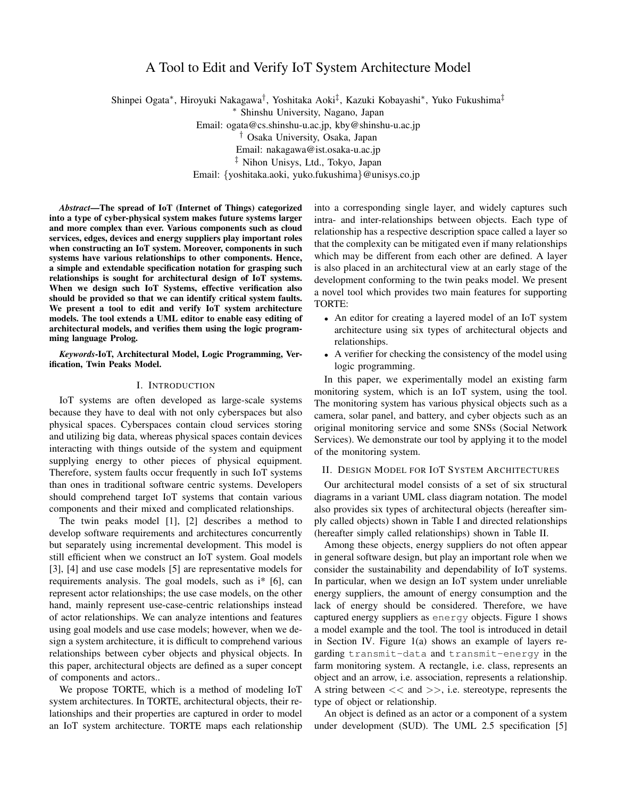# A Tool to Edit and Verify IoT System Architecture Model

Shinpei Ogata*∗* , Hiroyuki Nakagawa*†* , Yoshitaka Aoki*‡* , Kazuki Kobayashi*∗* , Yuko Fukushima*‡ ∗* Shinshu University, Nagano, Japan Email: ogata@cs.shinshu-u.ac.jp, kby@shinshu-u.ac.jp *†* Osaka University, Osaka, Japan Email: nakagawa@ist.osaka-u.ac.jp *‡* Nihon Unisys, Ltd., Tokyo, Japan Email: *{*yoshitaka.aoki, yuko.fukushima*}*@unisys.co.jp

*Abstract*—The spread of IoT (Internet of Things) categorized into a type of cyber-physical system makes future systems larger and more complex than ever. Various components such as cloud services, edges, devices and energy suppliers play important roles when constructing an IoT system. Moreover, components in such systems have various relationships to other components. Hence, a simple and extendable specification notation for grasping such relationships is sought for architectural design of IoT systems. When we design such IoT Systems, effective verification also should be provided so that we can identify critical system faults. We present a tool to edit and verify IoT system architecture models. The tool extends a UML editor to enable easy editing of architectural models, and verifies them using the logic programming language Prolog.

*Keywords*-IoT, Architectural Model, Logic Programming, Verification, Twin Peaks Model.

#### I. INTRODUCTION

IoT systems are often developed as large-scale systems because they have to deal with not only cyberspaces but also physical spaces. Cyberspaces contain cloud services storing and utilizing big data, whereas physical spaces contain devices interacting with things outside of the system and equipment supplying energy to other pieces of physical equipment. Therefore, system faults occur frequently in such IoT systems than ones in traditional software centric systems. Developers should comprehend target IoT systems that contain various components and their mixed and complicated relationships.

The twin peaks model [1], [2] describes a method to develop software requirements and architectures concurrently but separately using incremental development. This model is still efficient when we construct an IoT system. Goal models [3], [4] and use case models [5] are representative models for requirements analysis. The goal models, such as i\* [6], can represent actor relationships; the use case models, on the other hand, mainly represent use-case-centric relationships instead of actor relationships. We can analyze intentions and features using goal models and use case models; however, when we design a system architecture, it is difficult to comprehend various relationships between cyber objects and physical objects. In this paper, architectural objects are defined as a super concept of components and actors..

We propose TORTE, which is a method of modeling IoT system architectures. In TORTE, architectural objects, their relationships and their properties are captured in order to model an IoT system architecture. TORTE maps each relationship into a corresponding single layer, and widely captures such intra- and inter-relationships between objects. Each type of relationship has a respective description space called a layer so that the complexity can be mitigated even if many relationships which may be different from each other are defined. A layer is also placed in an architectural view at an early stage of the development conforming to the twin peaks model. We present a novel tool which provides two main features for supporting TORTE:

- An editor for creating a layered model of an IoT system architecture using six types of architectural objects and relationships.
- *•* A verifier for checking the consistency of the model using logic programming.

In this paper, we experimentally model an existing farm monitoring system, which is an IoT system, using the tool. The monitoring system has various physical objects such as a camera, solar panel, and battery, and cyber objects such as an original monitoring service and some SNSs (Social Network Services). We demonstrate our tool by applying it to the model of the monitoring system.

# II. DESIGN MODEL FOR IOT SYSTEM ARCHITECTURES

Our architectural model consists of a set of six structural diagrams in a variant UML class diagram notation. The model also provides six types of architectural objects (hereafter simply called objects) shown in Table I and directed relationships (hereafter simply called relationships) shown in Table II.

Among these objects, energy suppliers do not often appear in general software design, but play an important role when we consider the sustainability and dependability of IoT systems. In particular, when we design an IoT system under unreliable energy suppliers, the amount of energy consumption and the lack of energy should be considered. Therefore, we have captured energy suppliers as energy objects. Figure 1 shows a model example and the tool. The tool is introduced in detail in Section IV. Figure 1(a) shows an example of layers regarding transmit-data and transmit-energy in the farm monitoring system. A rectangle, i.e. class, represents an object and an arrow, i.e. association, represents a relationship. A string between *<<* and *>>*, i.e. stereotype, represents the type of object or relationship.

An object is defined as an actor or a component of a system under development (SUD). The UML 2.5 specification [5]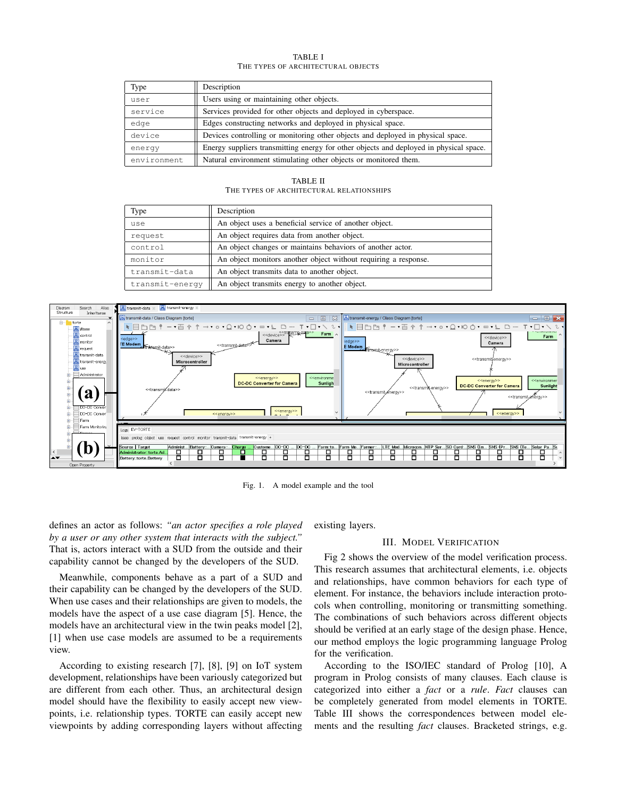#### TABLE I THE TYPES OF ARCHITECTURAL OBJECTS

| Type        | Description                                                                            |  |
|-------------|----------------------------------------------------------------------------------------|--|
| user        | Users using or maintaining other objects.                                              |  |
| service     | Services provided for other objects and deployed in cyberspace.                        |  |
| edge        | Edges constructing networks and deployed in physical space.                            |  |
| device      | Devices controlling or monitoring other objects and deployed in physical space.        |  |
| energy      | Energy suppliers transmitting energy for other objects and deployed in physical space. |  |
| environment | Natural environment stimulating other objects or monitored them.                       |  |

TABLE II THE TYPES OF ARCHITECTURAL RELATIONSHIPS

| Type            | Description                                                     |
|-----------------|-----------------------------------------------------------------|
| use             | An object uses a beneficial service of another object.          |
| request         | An object requires data from another object.                    |
| control         | An object changes or maintains behaviors of another actor.      |
| monitor         | An object monitors another object without requiring a response. |
| transmit-data   | An object transmits data to another object.                     |
| transmit-energy | An object transmits energy to another object.                   |



Fig. 1. A model example and the tool

defines an actor as follows: *"an actor specifies a role played by a user or any other system that interacts with the subject."* That is, actors interact with a SUD from the outside and their capability cannot be changed by the developers of the SUD.

Meanwhile, components behave as a part of a SUD and their capability can be changed by the developers of the SUD. When use cases and their relationships are given to models, the models have the aspect of a use case diagram [5]. Hence, the models have an architectural view in the twin peaks model [2], [1] when use case models are assumed to be a requirements view.

According to existing research [7], [8], [9] on IoT system development, relationships have been variously categorized but are different from each other. Thus, an architectural design model should have the flexibility to easily accept new viewpoints, i.e. relationship types. TORTE can easily accept new viewpoints by adding corresponding layers without affecting

existing layers.

#### III. MODEL VERIFICATION

Fig 2 shows the overview of the model verification process. This research assumes that architectural elements, i.e. objects and relationships, have common behaviors for each type of element. For instance, the behaviors include interaction protocols when controlling, monitoring or transmitting something. The combinations of such behaviors across different objects should be verified at an early stage of the design phase. Hence, our method employs the logic programming language Prolog for the verification.

According to the ISO/IEC standard of Prolog [10], A program in Prolog consists of many clauses. Each clause is categorized into either a *fact* or a *rule*. *Fact* clauses can be completely generated from model elements in TORTE. Table III shows the correspondences between model elements and the resulting *fact* clauses. Bracketed strings, e.g.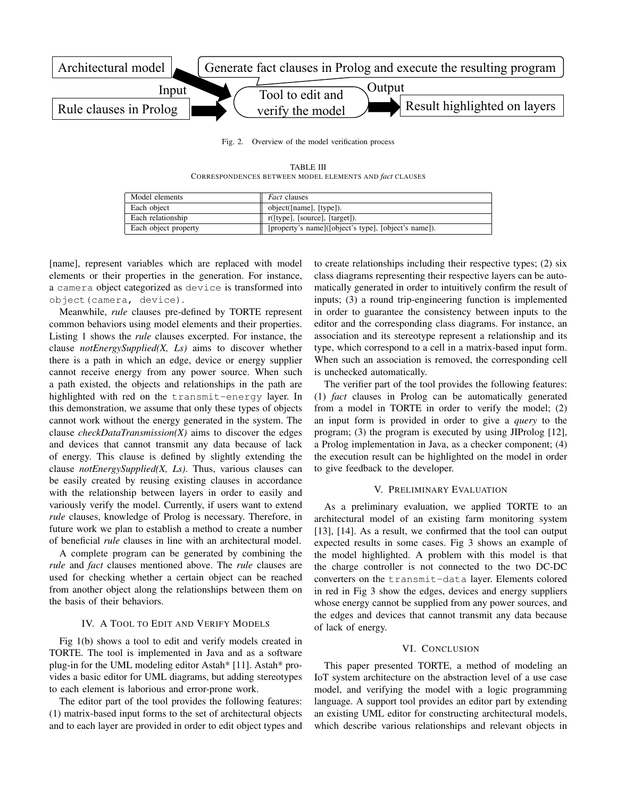

Fig. 2. Overview of the model verification process

TABLE III CORRESPONDENCES BETWEEN MODEL ELEMENTS AND *fact* CLAUSES

| Model elements       | <i>Fact</i> clauses                                  |
|----------------------|------------------------------------------------------|
| Each object          | object([name], [type]).                              |
| Each relationship    | r([type], [source], [target]).                       |
| Each object property | [property's name]([object's type], [object's name]). |

[name], represent variables which are replaced with model elements or their properties in the generation. For instance, a camera object categorized as device is transformed into object(camera, device).

Meanwhile, *rule* clauses pre-defined by TORTE represent common behaviors using model elements and their properties. Listing 1 shows the *rule* clauses excerpted. For instance, the clause *notEnergySupplied(X, Ls)* aims to discover whether there is a path in which an edge, device or energy supplier cannot receive energy from any power source. When such a path existed, the objects and relationships in the path are highlighted with red on the transmit-energy layer. In this demonstration, we assume that only these types of objects cannot work without the energy generated in the system. The clause *checkDataTransmission(X)* aims to discover the edges and devices that cannot transmit any data because of lack of energy. This clause is defined by slightly extending the clause *notEnergySupplied(X, Ls)*. Thus, various clauses can be easily created by reusing existing clauses in accordance with the relationship between layers in order to easily and variously verify the model. Currently, if users want to extend *rule* clauses, knowledge of Prolog is necessary. Therefore, in future work we plan to establish a method to create a number of beneficial *rule* clauses in line with an architectural model.

A complete program can be generated by combining the *rule* and *fact* clauses mentioned above. The *rule* clauses are used for checking whether a certain object can be reached from another object along the relationships between them on the basis of their behaviors.

## IV. A TOOL TO EDIT AND VERIFY MODELS

Fig 1(b) shows a tool to edit and verify models created in TORTE. The tool is implemented in Java and as a software plug-in for the UML modeling editor Astah\* [11]. Astah\* provides a basic editor for UML diagrams, but adding stereotypes to each element is laborious and error-prone work.

The editor part of the tool provides the following features: (1) matrix-based input forms to the set of architectural objects and to each layer are provided in order to edit object types and to create relationships including their respective types; (2) six class diagrams representing their respective layers can be automatically generated in order to intuitively confirm the result of inputs; (3) a round trip-engineering function is implemented in order to guarantee the consistency between inputs to the editor and the corresponding class diagrams. For instance, an association and its stereotype represent a relationship and its type, which correspond to a cell in a matrix-based input form. When such an association is removed, the corresponding cell is unchecked automatically.

The verifier part of the tool provides the following features: (1) *fact* clauses in Prolog can be automatically generated from a model in TORTE in order to verify the model; (2) an input form is provided in order to give a *query* to the program; (3) the program is executed by using JIProlog [12], a Prolog implementation in Java, as a checker component; (4) the execution result can be highlighted on the model in order to give feedback to the developer.

# V. PRELIMINARY EVALUATION

As a preliminary evaluation, we applied TORTE to an architectural model of an existing farm monitoring system [13], [14]. As a result, we confirmed that the tool can output expected results in some cases. Fig 3 shows an example of the model highlighted. A problem with this model is that the charge controller is not connected to the two DC-DC converters on the transmit-data layer. Elements colored in red in Fig 3 show the edges, devices and energy suppliers whose energy cannot be supplied from any power sources, and the edges and devices that cannot transmit any data because of lack of energy.

## VI. CONCLUSION

This paper presented TORTE, a method of modeling an IoT system architecture on the abstraction level of a use case model, and verifying the model with a logic programming language. A support tool provides an editor part by extending an existing UML editor for constructing architectural models, which describe various relationships and relevant objects in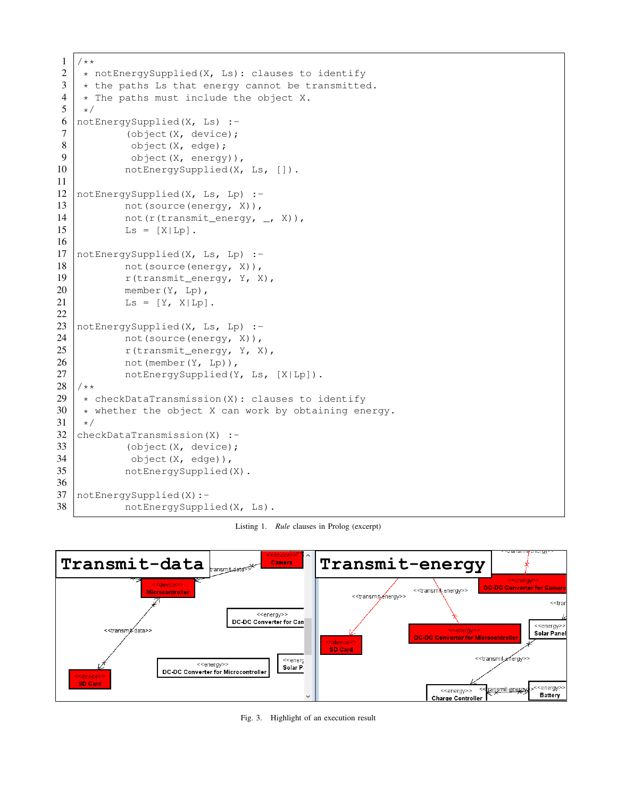```
\begin{array}{c|c} 1 & \rightarrow & \star \ 2 & \star \end{array}2 \rightarrow notEnergySupplied(X, Ls): clauses to identify<br>3 \rightarrow the paths Ls that energy cannot be transmitted
 3 \mid * the paths Ls that energy cannot be transmitted.<br>4  * The paths must include the object X.
 4 \mid * The paths must include the object X.<br>5 \mid *\star/6 | notEnergySupplied(X, Ls) :-
 7 (object (X, \text{ device});
 8 bject(X, edge);
 9 object (X, \text{ energy}),
10 | notEnergySupplied(X, Ls, []).
11
12 | notEnergySupplied(X, Ls, Lp) :-
13 not (source (energy, X)),
14 | not(r(transmit_energy, _, X)),
15 Ls = [X|Lp].
16
17 | notEnergySupplied(X, Ls, Lp) :-
18 not (source (energy, X)),
19 | r(transmit_energy, Y, X),
20 member(Y, Lp),
21 \vert Ls = [Y, X|Lp].
22
23 notEnergySupplied(X, Ls, Lp) :-
24 not (source (energy, X)),
25 r(transmit_energy, Y, X),
26 not (member (Y, Lp)),
27 | notEnergySupplied(Y, Ls, [X|Lp]).
\begin{array}{c|c} 28 \\ 29 \end{array} /**
29 * checkDataTransmission(X): clauses to identify<br>30 * whether the object X can work by obtaining en
30 * whether the object X can work by obtaining energy.<br>31 */
\begin{array}{c|c} 31 & \star/ \\ 32 & \text{che} \end{array}checkDataTransmission(X) :-
33 (object (X, device);
34 | object(X, edge)),
35 notEnergySupplied(X).
36
37 notEnergySupplied(X):-
38 notEnergySupplied(X, Ls).
```
Listing 1. *Rule* clauses in Prolog (excerpt)



Fig. 3. Highlight of an execution result